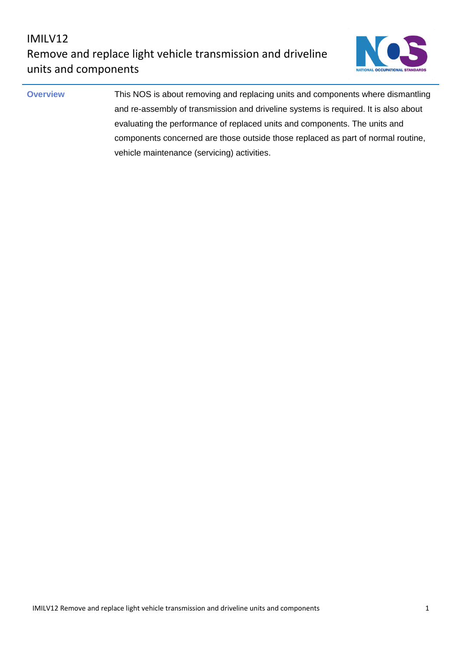

**Overview** This NOS is about removing and replacing units and components where dismantling and re-assembly of transmission and driveline systems is required. It is also about evaluating the performance of replaced units and components. The units and components concerned are those outside those replaced as part of normal routine, vehicle maintenance (servicing) activities.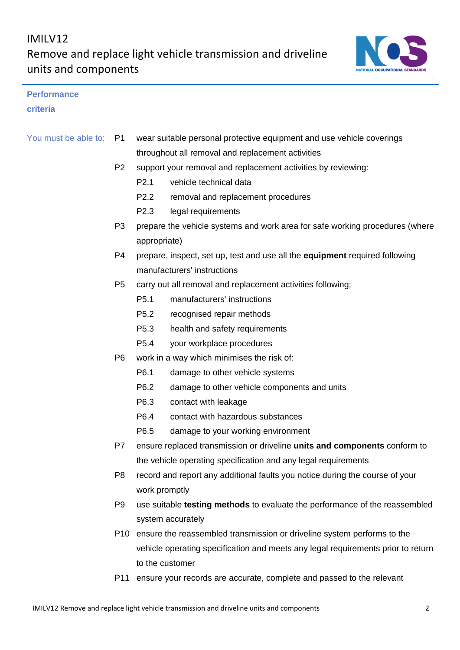

### **Performance**

### **criteria**

| You must be able to: P1 | wear suitable personal protective equipment and use vehicle coverings |
|-------------------------|-----------------------------------------------------------------------|
|                         | throughout all removal and replacement activities                     |

- P2 support your removal and replacement activities by reviewing:
	- P2.1 vehicle technical data
	- P2.2 removal and replacement procedures
	- P2.3 legal requirements
- P3 prepare the vehicle systems and work area for safe working procedures (where appropriate)
- P4 prepare, inspect, set up, test and use all the **equipment** required following manufacturers' instructions
- P5 carry out all removal and replacement activities following;
	- P5.1 manufacturers' instructions
	- P5.2 recognised repair methods
	- P5.3 health and safety requirements
	- P5.4 your workplace procedures
- P6 work in a way which minimises the risk of:
	- P6.1 damage to other vehicle systems
	- P6.2 damage to other vehicle components and units
	- P6.3 contact with leakage
	- P6.4 contact with hazardous substances
	- P6.5 damage to your working environment
- P7 ensure replaced transmission or driveline **units and components** conform to the vehicle operating specification and any legal requirements
- P8 record and report any additional faults you notice during the course of your work promptly
- P9 use suitable **testing methods** to evaluate the performance of the reassembled system accurately
- P10 ensure the reassembled transmission or driveline system performs to the vehicle operating specification and meets any legal requirements prior to return to the customer
- P11 ensure your records are accurate, complete and passed to the relevant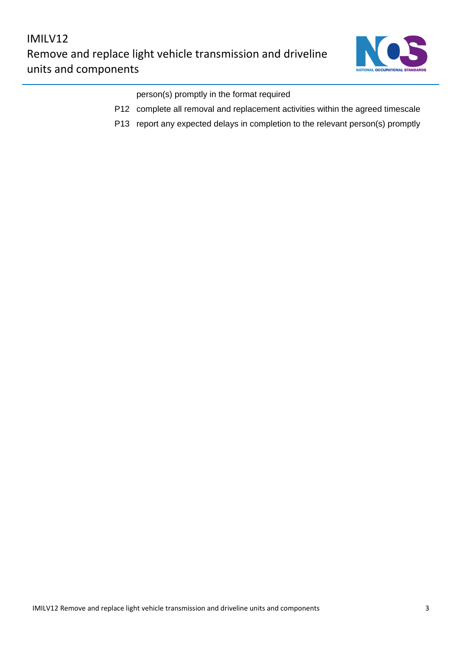

person(s) promptly in the format required

- P12 complete all removal and replacement activities within the agreed timescale
- P13 report any expected delays in completion to the relevant person(s) promptly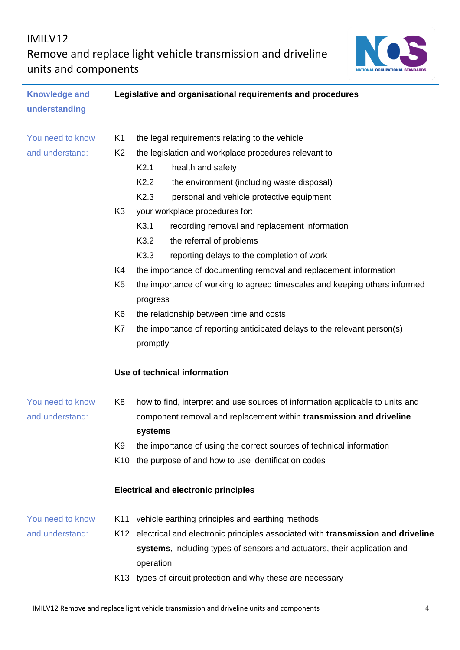## IMILV12

Remove and replace light vehicle transmission and driveline units and components



| <b>Knowledge and</b> |                | Legislative and organisational requirements and procedures                            |
|----------------------|----------------|---------------------------------------------------------------------------------------|
| understanding        |                |                                                                                       |
| You need to know     | K1             | the legal requirements relating to the vehicle                                        |
| and understand:      | K <sub>2</sub> | the legislation and workplace procedures relevant to                                  |
|                      |                | K2.1<br>health and safety                                                             |
|                      |                | K <sub>2.2</sub><br>the environment (including waste disposal)                        |
|                      |                | K <sub>2.3</sub><br>personal and vehicle protective equipment                         |
|                      | K <sub>3</sub> | your workplace procedures for:                                                        |
|                      |                | K <sub>3.1</sub><br>recording removal and replacement information                     |
|                      |                | K3.2<br>the referral of problems                                                      |
|                      |                | K <sub>3.3</sub><br>reporting delays to the completion of work                        |
|                      | K4             | the importance of documenting removal and replacement information                     |
|                      | K <sub>5</sub> | the importance of working to agreed timescales and keeping others informed            |
|                      |                | progress                                                                              |
|                      | K6             | the relationship between time and costs                                               |
|                      | K7             | the importance of reporting anticipated delays to the relevant person(s)              |
|                      |                | promptly                                                                              |
|                      |                | Use of technical information                                                          |
| You need to know     | K <sub>8</sub> | how to find, interpret and use sources of information applicable to units and         |
| and understand:      |                | component removal and replacement within transmission and driveline                   |
|                      |                | systems                                                                               |
|                      | K9             | the importance of using the correct sources of technical information                  |
|                      |                | K10 the purpose of and how to use identification codes                                |
|                      |                | <b>Electrical and electronic principles</b>                                           |
| You need to know     | K11            | vehicle earthing principles and earthing methods                                      |
| and understand:      |                | K12 electrical and electronic principles associated with transmission and driveline   |
|                      |                | systems, including types of sensors and actuators, their application and<br>operation |
|                      |                | K13 types of circuit protection and why these are necessary                           |
|                      |                |                                                                                       |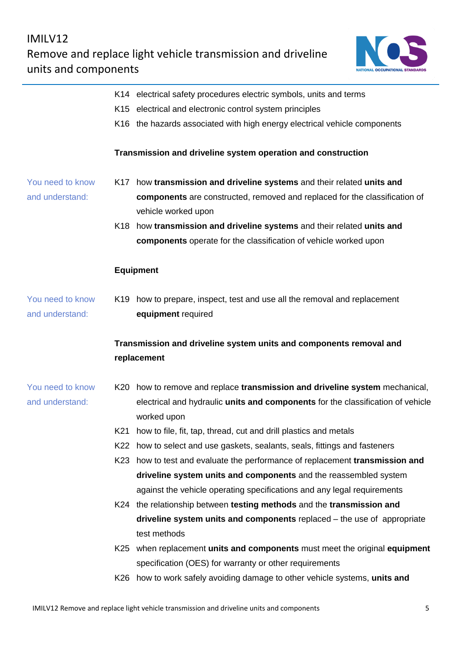

|                                     |     | K14 electrical safety procedures electric symbols, units and terms<br>K15 electrical and electronic control system principles    |
|-------------------------------------|-----|----------------------------------------------------------------------------------------------------------------------------------|
|                                     |     | K16 the hazards associated with high energy electrical vehicle components                                                        |
|                                     |     | Transmission and driveline system operation and construction                                                                     |
| You need to know                    |     | K17 how transmission and driveline systems and their related units and                                                           |
| and understand:                     |     | components are constructed, removed and replaced for the classification of<br>vehicle worked upon                                |
|                                     | K18 | how transmission and driveline systems and their related units and                                                               |
|                                     |     | components operate for the classification of vehicle worked upon                                                                 |
|                                     |     | <b>Equipment</b>                                                                                                                 |
| You need to know<br>and understand: |     | K19 how to prepare, inspect, test and use all the removal and replacement<br>equipment required                                  |
|                                     |     | Transmission and driveline system units and components removal and                                                               |
|                                     |     | replacement                                                                                                                      |
| You need to know                    |     | K20 how to remove and replace transmission and driveline system mechanical,                                                      |
| and understand:                     |     | electrical and hydraulic units and components for the classification of vehicle                                                  |
|                                     |     | worked upon                                                                                                                      |
|                                     |     | K21 how to file, fit, tap, thread, cut and drill plastics and metals                                                             |
|                                     |     | K22 how to select and use gaskets, sealants, seals, fittings and fasteners                                                       |
|                                     |     | K23 how to test and evaluate the performance of replacement transmission and                                                     |
|                                     |     | driveline system units and components and the reassembled system                                                                 |
|                                     |     | against the vehicle operating specifications and any legal requirements                                                          |
|                                     |     | K24 the relationship between testing methods and the transmission and                                                            |
|                                     |     | driveline system units and components replaced - the use of appropriate                                                          |
|                                     |     | test methods                                                                                                                     |
|                                     | K25 | when replacement units and components must meet the original equipment<br>specification (OES) for warranty or other requirements |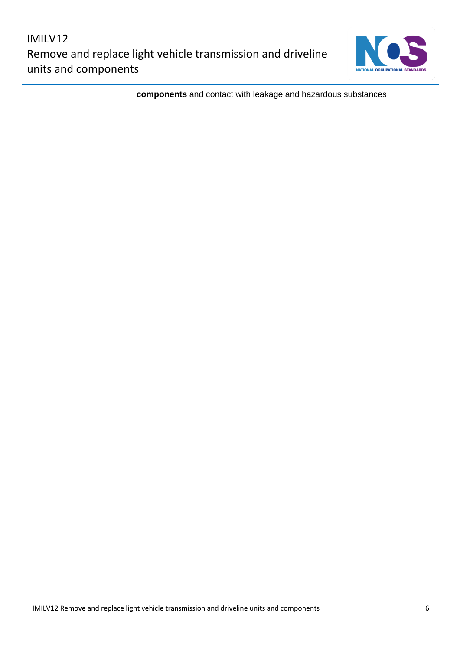

**components** and contact with leakage and hazardous substances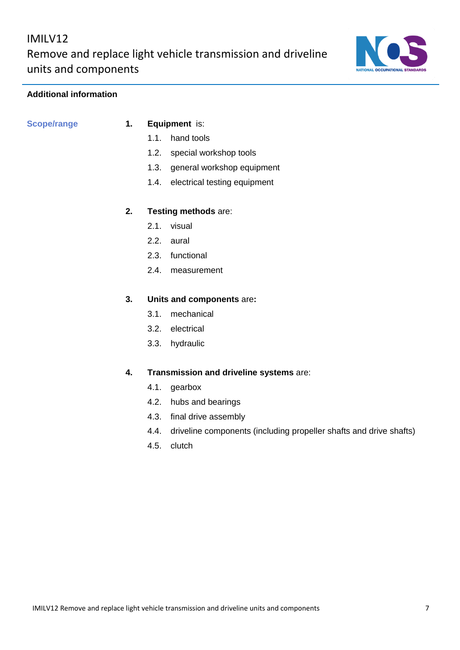### **Additional information**

## **Scope/range 1. Equipment** is:

- 1.1. hand tools
- 1.2. special workshop tools
- 1.3. general workshop equipment
- 1.4. electrical testing equipment

## **2. Testing methods** are:

- 2.1. visual
- 2.2. aural
- 2.3. functional
- 2.4. measurement

### **3. Units and components** are**:**

- 3.1. mechanical
- 3.2. electrical
- 3.3. hydraulic

### **4. Transmission and driveline systems** are:

- 4.1. gearbox
- 4.2. hubs and bearings
- 4.3. final drive assembly
- 4.4. driveline components (including propeller shafts and drive shafts)
- 4.5. clutch

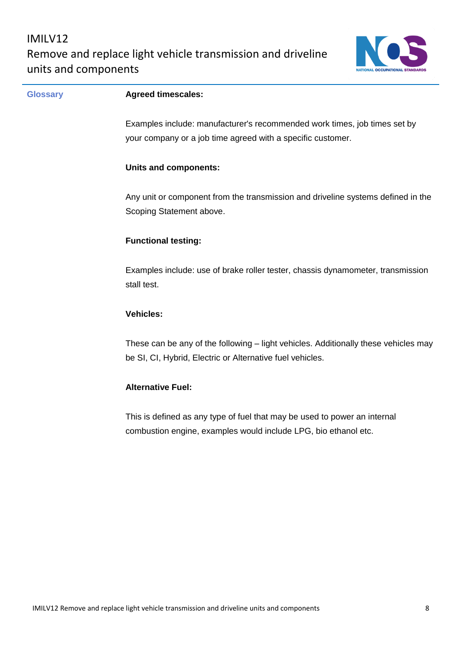

| <b>Glossary</b> | <b>Agreed timescales:</b>                                                                                                                        |
|-----------------|--------------------------------------------------------------------------------------------------------------------------------------------------|
|                 | Examples include: manufacturer's recommended work times, job times set by                                                                        |
|                 | your company or a job time agreed with a specific customer.                                                                                      |
|                 | <b>Units and components:</b>                                                                                                                     |
|                 | Any unit or component from the transmission and driveline systems defined in the<br>Scoping Statement above.                                     |
|                 | <b>Functional testing:</b>                                                                                                                       |
|                 | Examples include: use of brake roller tester, chassis dynamometer, transmission<br>stall test.                                                   |
|                 | <b>Vehicles:</b>                                                                                                                                 |
|                 | These can be any of the following – light vehicles. Additionally these vehicles may<br>be SI, CI, Hybrid, Electric or Alternative fuel vehicles. |
|                 | <b>Alternative Fuel:</b>                                                                                                                         |
|                 | This is defined as any type of fuel that may be used to power an internal<br>combustion engine, examples would include LPG, bio ethanol etc.     |
|                 |                                                                                                                                                  |
|                 |                                                                                                                                                  |
|                 |                                                                                                                                                  |
|                 |                                                                                                                                                  |
|                 |                                                                                                                                                  |